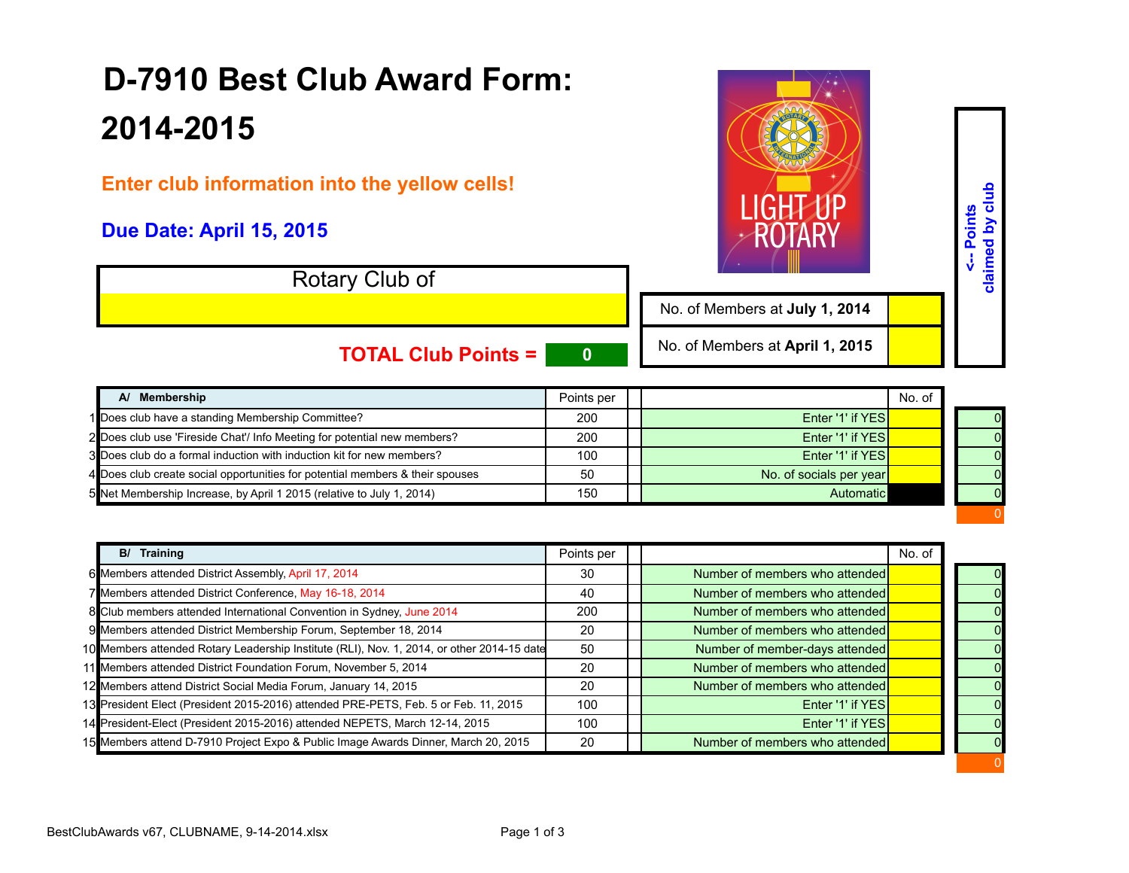## **D-7910 Best Club Award Form: 2014-2015**

**Enter club information into the yellow cells!** 

## **Due Date: April 15, 2015**

Rotary Club of

No. of Members at **July 1, 2014**

0

**<-- Points claimed by club**

<-- Points<br>claimed by club

0

**TOTAL Club Points = 0**

No. of Members at **April 1, 2015**

| A/ Membership                                                                 | Points per |                         | No. of |  |
|-------------------------------------------------------------------------------|------------|-------------------------|--------|--|
| 1 Does club have a standing Membership Committee?                             | 200        | Enter '1' if YES        |        |  |
| 2 Does club use 'Fireside Chat'/ Info Meeting for potential new members?      | 200        | Enter '1' if YES        |        |  |
| 3 Does club do a formal induction with induction kit for new members?         | 100        | Enter '1' if YES        |        |  |
| 4 Does club create social opportunities for potential members & their spouses | 50         | No. of socials per year |        |  |
| 5 Net Membership Increase, by April 1 2015 (relative to July 1, 2014)         | 150        | Automatic               |        |  |

| B/ Training                                                                                | Points per |                                | No. of |          |
|--------------------------------------------------------------------------------------------|------------|--------------------------------|--------|----------|
| 6 Members attended District Assembly, April 17, 2014                                       | 30         | Number of members who attended |        | 0        |
| 7 Members attended District Conference, May 16-18, 2014                                    | 40         | Number of members who attended |        | $\Omega$ |
| 8 Club members attended International Convention in Sydney, June 2014                      | 200        | Number of members who attended |        |          |
| 9 Members attended District Membership Forum, September 18, 2014                           | 20         | Number of members who attended |        |          |
| 10 Members attended Rotary Leadership Institute (RLI), Nov. 1, 2014, or other 2014-15 date | 50         | Number of member-days attended |        | 0        |
| 11 Members attended District Foundation Forum, November 5, 2014                            | 20         | Number of members who attended |        | $\Omega$ |
| 12 Members attend District Social Media Forum, January 14, 2015                            | 20         | Number of members who attended |        |          |
| 13 President Elect (President 2015-2016) attended PRE-PETS, Feb. 5 or Feb. 11, 2015        | 100        | Enter '1' if YES               |        | 0        |
| 14 President-Elect (President 2015-2016) attended NEPETS, March 12-14, 2015                | 100        | Enter '1' if YES               |        | $\Omega$ |
| 15 Members attend D-7910 Project Expo & Public Image Awards Dinner, March 20, 2015         | 20         | Number of members who attended |        | -0       |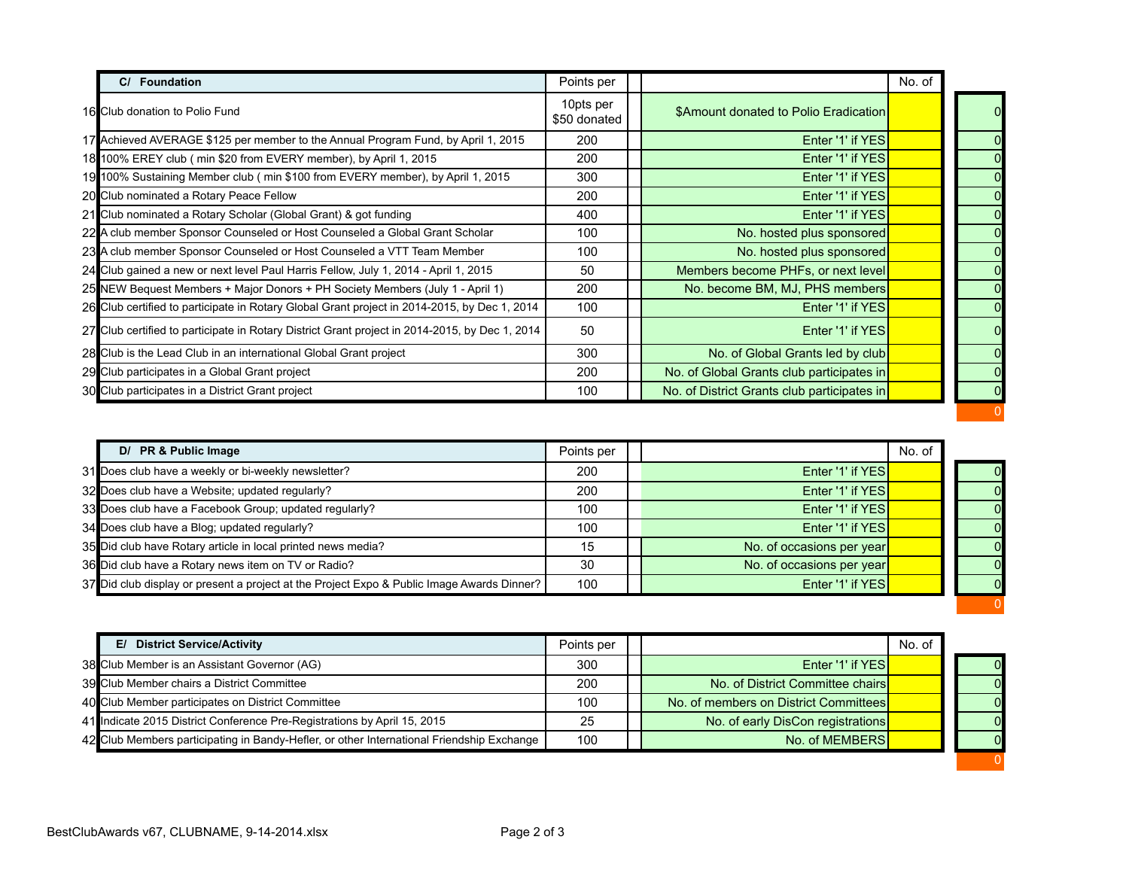| Foundation                                                                                     | Points per                |                                             | No. of |   |
|------------------------------------------------------------------------------------------------|---------------------------|---------------------------------------------|--------|---|
| 16 Club donation to Polio Fund                                                                 | 10pts per<br>\$50 donated | \$Amount donated to Polio Eradication       |        |   |
| 17 Achieved AVERAGE \$125 per member to the Annual Program Fund, by April 1, 2015              | 200                       | Enter '1' if YES                            |        | 0 |
| 18 100% EREY club (min \$20 from EVERY member), by April 1, 2015                               | 200                       | Enter '1' if YES                            |        | 0 |
| 19 100% Sustaining Member club (min \$100 from EVERY member), by April 1, 2015                 | 300                       | Enter '1' if YES                            |        | 0 |
| 20 Club nominated a Rotary Peace Fellow                                                        | 200                       | Enter '1' if YES                            |        |   |
| 21 Club nominated a Rotary Scholar (Global Grant) & got funding                                | 400                       | Enter '1' if YES                            |        |   |
| 22 A club member Sponsor Counseled or Host Counseled a Global Grant Scholar                    | 100                       | No. hosted plus sponsored                   |        |   |
| 23 A club member Sponsor Counseled or Host Counseled a VTT Team Member                         | 100                       | No. hosted plus sponsored                   |        |   |
| 24 Club gained a new or next level Paul Harris Fellow, July 1, 2014 - April 1, 2015            | 50                        | Members become PHFs, or next level          |        |   |
| 25 NEW Bequest Members + Major Donors + PH Society Members (July 1 - April 1)                  | 200                       | No. become BM, MJ, PHS members              |        |   |
| 26 Club certified to participate in Rotary Global Grant project in 2014-2015, by Dec 1, 2014   | 100                       | Enter '1' if YES                            |        |   |
| 27 Club certified to participate in Rotary District Grant project in 2014-2015, by Dec 1, 2014 | 50                        | Enter '1' if YES                            |        |   |
| 28 Club is the Lead Club in an international Global Grant project                              | 300                       | No. of Global Grants led by club            |        |   |
| 29 Club participates in a Global Grant project                                                 | 200                       | No. of Global Grants club participates in   |        |   |
| 30 Club participates in a District Grant project                                               | 100                       | No. of District Grants club participates in |        |   |

| D/ PR & Public Image                                                                       | Points per |                           | No. of |  |
|--------------------------------------------------------------------------------------------|------------|---------------------------|--------|--|
| 31 Does club have a weekly or bi-weekly newsletter?                                        | 200        | Enter '1' if YES          |        |  |
| 32 Does club have a Website; updated regularly?                                            | 200        | Enter '1' if YES          |        |  |
| 33 Does club have a Facebook Group; updated regularly?                                     | 100        | Enter '1' if YES          |        |  |
| 34 Does club have a Blog; updated regularly?                                               | 100        | Enter '1' if YES          |        |  |
| 35 Did club have Rotary article in local printed news media?                               | 15         | No. of occasions per year |        |  |
| 36 Did club have a Rotary news item on TV or Radio?                                        | 30         | No. of occasions per year |        |  |
| 37 Did club display or present a project at the Project Expo & Public Image Awards Dinner? | 100        | Enter '1' if YES          |        |  |
|                                                                                            |            |                           |        |  |

| <b>District Service/Activity</b><br>E/                                                    | Points per |                                       | No. of |                |
|-------------------------------------------------------------------------------------------|------------|---------------------------------------|--------|----------------|
| 38 Club Member is an Assistant Governor (AG)                                              | 300        | Enter '1' if YES                      |        | $\overline{O}$ |
| 39 Club Member chairs a District Committee                                                | 200        | No. of District Committee chairs      |        | $\overline{0}$ |
| 40 Club Member participates on District Committee                                         | 100        | No. of members on District Committees |        | $\overline{O}$ |
| 41 Indicate 2015 District Conference Pre-Registrations by April 15, 2015                  | 25         | No. of early DisCon registrations     |        | $\overline{0}$ |
| 42 Club Members participating in Bandy-Hefler, or other International Friendship Exchange | 100        | No. of MEMBERS                        |        | $\overline{O}$ |
|                                                                                           |            |                                       |        |                |